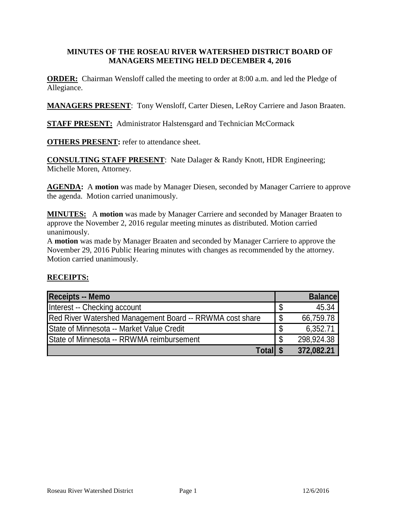#### **MINUTES OF THE ROSEAU RIVER WATERSHED DISTRICT BOARD OF MANAGERS MEETING HELD DECEMBER 4, 2016**

**ORDER:** Chairman Wensloff called the meeting to order at 8:00 a.m. and led the Pledge of Allegiance.

**MANAGERS PRESENT**: Tony Wensloff, Carter Diesen, LeRoy Carriere and Jason Braaten.

**STAFF PRESENT:** Administrator Halstensgard and Technician McCormack

**OTHERS PRESENT:** refer to attendance sheet.

**CONSULTING STAFF PRESENT**: Nate Dalager & Randy Knott, HDR Engineering; Michelle Moren, Attorney.

**AGENDA:** A **motion** was made by Manager Diesen, seconded by Manager Carriere to approve the agenda. Motion carried unanimously.

**MINUTES:** A **motion** was made by Manager Carriere and seconded by Manager Braaten to approve the November 2, 2016 regular meeting minutes as distributed. Motion carried unanimously.

A **motion** was made by Manager Braaten and seconded by Manager Carriere to approve the November 29, 2016 Public Hearing minutes with changes as recommended by the attorney. Motion carried unanimously.

#### **RECEIPTS:**

| <b>Receipts -- Memo</b>                                  |    | <b>Balance</b> |
|----------------------------------------------------------|----|----------------|
| Interest -- Checking account                             |    | 45.34          |
| Red River Watershed Management Board -- RRWMA cost share | \$ | 66,759.78      |
| State of Minnesota -- Market Value Credit                | \$ | 6,352.71       |
| State of Minnesota -- RRWMA reimbursement                | S  | 298,924.38     |
| Total \$                                                 |    | 372,082.21     |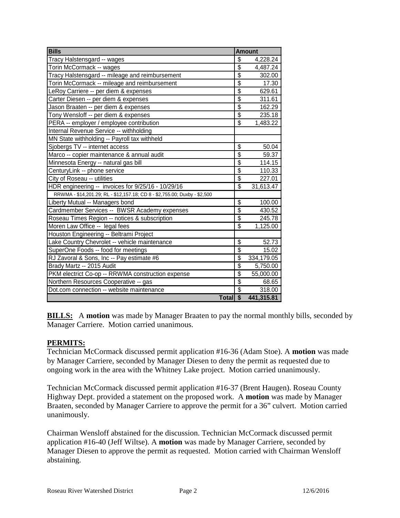| <b>Bills</b>                                                              | <b>Amount</b>   |            |
|---------------------------------------------------------------------------|-----------------|------------|
| Tracy Halstensgard -- wages                                               | \$              | 4,228.24   |
| Torin McCormack -- wages                                                  | \$              | 4,487.24   |
| Tracy Halstensgard -- mileage and reimbursement                           | $\overline{\$}$ | 302.00     |
| Torin McCormack -- mileage and reimbursement                              | \$              | 17.30      |
| LeRoy Carriere -- per diem & expenses                                     | $\overline{\$}$ | 629.61     |
| Carter Diesen -- per diem & expenses                                      | $\overline{\$}$ | 311.61     |
| Jason Braaten -- per diem & expenses                                      | $\overline{\$}$ | 162.29     |
| Tony Wensloff -- per diem & expenses                                      | $\overline{\$}$ | 235.18     |
| PERA -- employer / employee contribution                                  | $\overline{\$}$ | 1,483.22   |
| Internal Revenue Service -- withholding                                   |                 |            |
| MN State withholding -- Payroll tax withheld                              |                 |            |
| Sjobergs TV -- internet access                                            | $\overline{\$}$ | 50.04      |
| Marco -- copier maintenance & annual audit                                | $\overline{\$}$ | 59.37      |
| Minnesota Energy -- natural gas bill                                      | \$              | 114.15     |
| CenturyLink -- phone service                                              | $\overline{\$}$ | 110.33     |
| City of Roseau -- utilities                                               | \$              | 227.01     |
| HDR engineering -- invoices for 9/25/16 - 10/29/16                        | \$              | 31,613.47  |
| RRWMA - \$14,201.29; RL - \$12,157.18; CD 8 - \$2,755.00; Duxby - \$2,500 |                 |            |
| Liberty Mutual -- Managers bond                                           | $\overline{\$}$ | 100.00     |
| Cardmember Services -- BWSR Academy expenses                              | $\overline{\$}$ | 430.52     |
| Roseau Times Region -- notices & subscription                             | \$              | 245.78     |
| Moren Law Office -- legal fees                                            | $\overline{\$}$ | 1,125.00   |
| Houston Engineering -- Beltrami Project                                   |                 |            |
| Lake Country Chevrolet -- vehicle maintenance                             | \$              | 52.73      |
| SuperOne Foods -- food for meetings                                       | $\overline{\$}$ | 15.02      |
| RJ Zavoral & Sons, Inc -- Pay estimate #6                                 | \$              | 334,179.05 |
| Brady Martz -- 2015 Audit                                                 | $\overline{\$}$ | 5,750.00   |
| PKM electrict Co-op -- RRWMA construction expense                         | $\overline{\$}$ | 55,000.00  |
| Northern Resources Cooperative -- gas                                     | $\overline{\$}$ | 68.65      |
| Dot.com connection -- website maintenance                                 | \$              | 318.00     |
| Total \$                                                                  |                 | 441,315.81 |

**BILLS:** A motion was made by Manager Braaten to pay the normal monthly bills, seconded by Manager Carriere. Motion carried unanimous.

## **PERMITS:**

Technician McCormack discussed permit application #16-36 (Adam Stoe). A **motion** was made by Manager Carriere, seconded by Manager Diesen to deny the permit as requested due to ongoing work in the area with the Whitney Lake project. Motion carried unanimously.

Technician McCormack discussed permit application #16-37 (Brent Haugen). Roseau County Highway Dept. provided a statement on the proposed work. A **motion** was made by Manager Braaten, seconded by Manager Carriere to approve the permit for a 36" culvert. Motion carried unanimously.

Chairman Wensloff abstained for the discussion. Technician McCormack discussed permit application #16-40 (Jeff Wiltse). A **motion** was made by Manager Carriere, seconded by Manager Diesen to approve the permit as requested. Motion carried with Chairman Wensloff abstaining.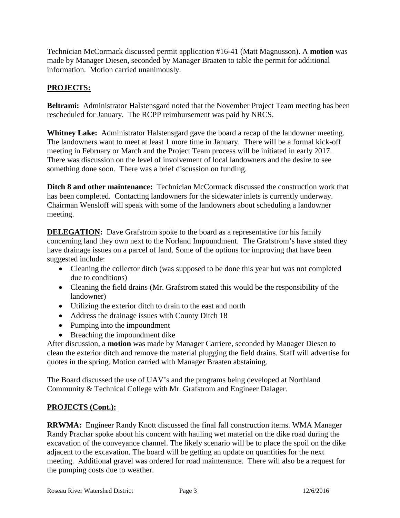Technician McCormack discussed permit application #16-41 (Matt Magnusson). A **motion** was made by Manager Diesen, seconded by Manager Braaten to table the permit for additional information. Motion carried unanimously.

# **PROJECTS:**

**Beltrami:** Administrator Halstensgard noted that the November Project Team meeting has been rescheduled for January. The RCPP reimbursement was paid by NRCS.

**Whitney Lake:** Administrator Halstensgard gave the board a recap of the landowner meeting. The landowners want to meet at least 1 more time in January. There will be a formal kick-off meeting in February or March and the Project Team process will be initiated in early 2017. There was discussion on the level of involvement of local landowners and the desire to see something done soon. There was a brief discussion on funding.

**Ditch 8 and other maintenance:** Technician McCormack discussed the construction work that has been completed. Contacting landowners for the sidewater inlets is currently underway. Chairman Wensloff will speak with some of the landowners about scheduling a landowner meeting.

**DELEGATION:** Dave Grafstrom spoke to the board as a representative for his family concerning land they own next to the Norland Impoundment. The Grafstrom's have stated they have drainage issues on a parcel of land. Some of the options for improving that have been suggested include:

- Cleaning the collector ditch (was supposed to be done this year but was not completed due to conditions)
- Cleaning the field drains (Mr. Grafstrom stated this would be the responsibility of the landowner)
- Utilizing the exterior ditch to drain to the east and north
- Address the drainage issues with County Ditch 18
- Pumping into the impoundment
- Breaching the impoundment dike

After discussion, a **motion** was made by Manager Carriere, seconded by Manager Diesen to clean the exterior ditch and remove the material plugging the field drains. Staff will advertise for quotes in the spring. Motion carried with Manager Braaten abstaining.

The Board discussed the use of UAV's and the programs being developed at Northland Community & Technical College with Mr. Grafstrom and Engineer Dalager.

## **PROJECTS (Cont.):**

**RRWMA:** Engineer Randy Knott discussed the final fall construction items. WMA Manager Randy Prachar spoke about his concern with hauling wet material on the dike road during the excavation of the conveyance channel. The likely scenario will be to place the spoil on the dike adjacent to the excavation. The board will be getting an update on quantities for the next meeting. Additional gravel was ordered for road maintenance. There will also be a request for the pumping costs due to weather.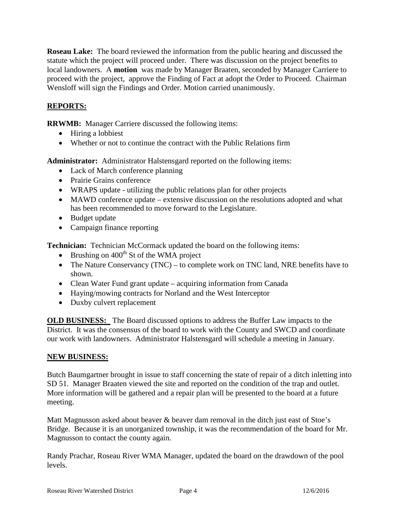**Roseau Lake:** The board reviewed the information from the public hearing and discussed the statute which the project will proceed under. There was discussion on the project benefits to local landowners. A **motion** was made by Manager Braaten, seconded by Manager Carriere to proceed with the project, approve the Finding of Fact at adopt the Order to Proceed. Chairman Wensloff will sign the Findings and Order. Motion carried unanimously.

## **REPORTS:**

**RRWMB:** Manager Carriere discussed the following items:

- Hiring a lobbiest
- Whether or not to continue the contract with the Public Relations firm

**Administrator:** Administrator Halstensgard reported on the following items:

- Lack of March conference planning
- Prairie Grains conference
- WRAPS update utilizing the public relations plan for other projects
- MAWD conference update extensive discussion on the resolutions adopted and what has been recommended to move forward to the Legislature.
- Budget update
- Campaign finance reporting

**Technician:** Technician McCormack updated the board on the following items:

- Brushing on  $400<sup>th</sup>$  St of the WMA project
- The Nature Conservancy (TNC) to complete work on TNC land, NRE benefits have to shown.
- Clean Water Fund grant update acquiring information from Canada
- Haying/mowing contracts for Norland and the West Interceptor
- Duxby culvert replacement

**OLD BUSINESS:** The Board discussed options to address the Buffer Law impacts to the District. It was the consensus of the board to work with the County and SWCD and coordinate our work with landowners. Administrator Halstensgard will schedule a meeting in January.

#### **NEW BUSINESS:**

Butch Baumgartner brought in issue to staff concerning the state of repair of a ditch inletting into SD 51. Manager Braaten viewed the site and reported on the condition of the trap and outlet. More information will be gathered and a repair plan will be presented to the board at a future meeting.

Matt Magnusson asked about beaver & beaver dam removal in the ditch just east of Stoe's Bridge. Because it is an unorganized township, it was the recommendation of the board for Mr. Magnusson to contact the county again.

Randy Prachar, Roseau River WMA Manager, updated the board on the drawdown of the pool levels.